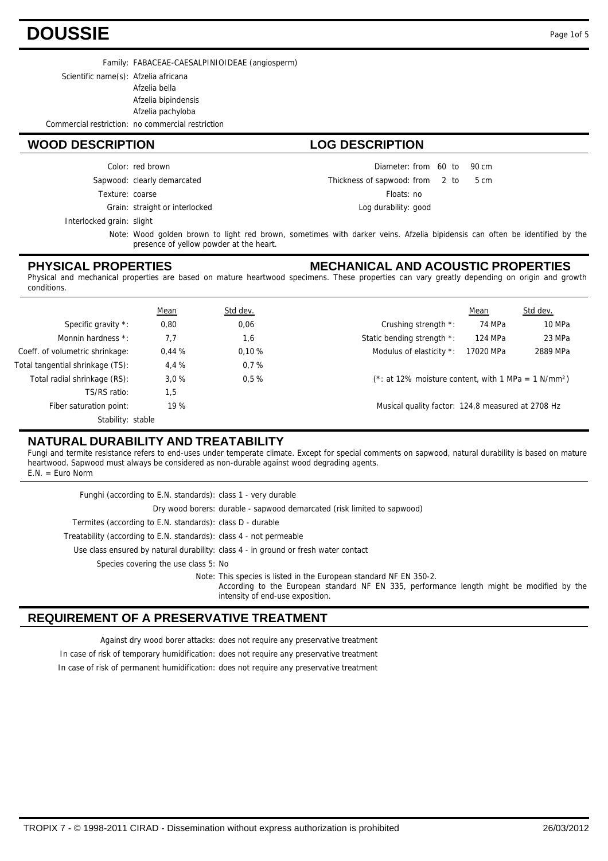## **DOUSSIE** Page 1of 5

Family: FABACEAE-CAESALPINIOIDEAE (angiosperm)

Scientific name(s): Afzelia africana

Afzelia bella

Afzelia bipindensis

Afzelia pachyloba

Commercial restriction: no commercial restriction

### **WOOD DESCRIPTION LOG DESCRIPTION**

Color: red brown

Sapwood: clearly demarcated

Texture: coarse

Grain: straight or interlocked

Interlocked grain: slight

Wood golden brown to light red brown, sometimes with darker veins. Afzelia bipidensis can often be identified by the Note: presence of yellow powder at the heart.

#### **PHYSICAL PROPERTIES**

#### **MECHANICAL AND ACOUSTIC PROPERTIES**

Diameter: from 60 to 90 cm  $2<sub>to</sub>$ 

5 cm

Floats: no Log durability: good

Thickness of sapwood:

Physical and mechanical properties are based on mature heartwood specimens. These properties can vary greatly depending on origin and growth conditions.

|                                  | Mean  | Std dev. |                                                                 | Mean      | Std dev. |
|----------------------------------|-------|----------|-----------------------------------------------------------------|-----------|----------|
| Specific gravity *:              | 0,80  | 0,06     | Crushing strength *:                                            | 74 MPa    | 10 MPa   |
| Monnin hardness *:               | 7.7   | 1,6      | Static bending strength *:                                      | 124 MPa   | 23 MPa   |
| Coeff. of volumetric shrinkage:  | 0.44% | 0.10%    | Modulus of elasticity *:                                        | 17020 MPa | 2889 MPa |
| Total tangential shrinkage (TS): | 4.4 % | 0.7%     |                                                                 |           |          |
| Total radial shrinkage (RS):     | 3.0%  | 0.5%     | (*: at 12% moisture content, with 1 MPa = 1 N/mm <sup>2</sup> ) |           |          |
| TS/RS ratio:                     | 1,5   |          |                                                                 |           |          |
| Fiber saturation point:          | 19 %  |          | Musical quality factor: 124,8 measured at 2708 Hz               |           |          |
| Stability: stable                |       |          |                                                                 |           |          |

### **NATURAL DURABILITY AND TREATABILITY**

Fungi and termite resistance refers to end-uses under temperate climate. Except for special comments on sapwood, natural durability is based on mature heartwood. Sapwood must always be considered as non-durable against wood degrading agents. E.N. = Euro Norm

Use class ensured by natural durability: class 4 - in ground or fresh water contact Treatability (according to E.N. standards): class 4 - not permeable Termites (according to E.N. standards): class D - durable Dry wood borers: durable - sapwood demarcated (risk limited to sapwood) Funghi (according to E.N. standards): class 1 - very durable Species covering the use class 5: No Note: This species is listed in the European standard NF EN 350-2. According to the European standard NF EN 335, performance length might be modified by the intensity of end-use exposition.

#### **REQUIREMENT OF A PRESERVATIVE TREATMENT**

Against dry wood borer attacks: does not require any preservative treatment

In case of risk of temporary humidification: does not require any preservative treatment

In case of risk of permanent humidification: does not require any preservative treatment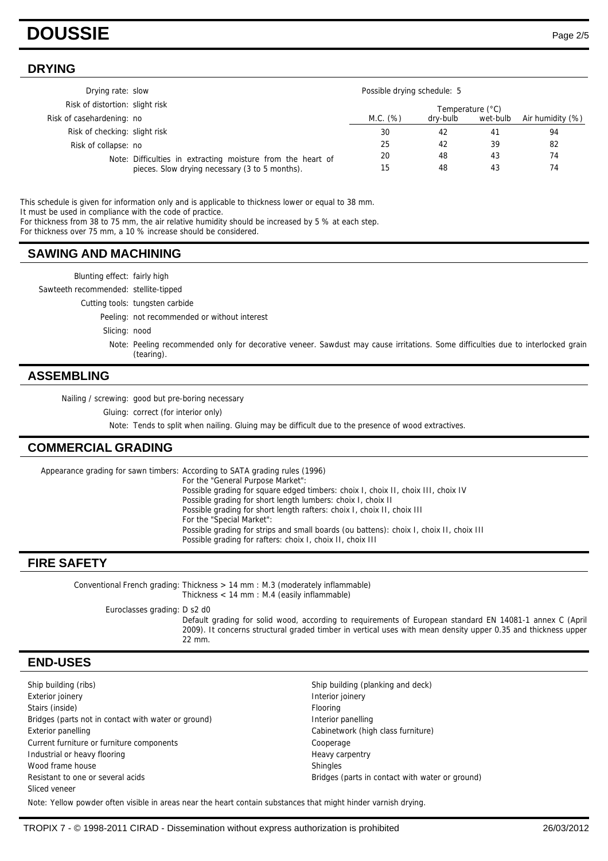## **DOUSSIE** Page 2/5

#### **DRYING**

| Drying rate: slow               |                                                                                                               | Possible drying schedule: 5 |          |          |                  |
|---------------------------------|---------------------------------------------------------------------------------------------------------------|-----------------------------|----------|----------|------------------|
| Risk of distortion: slight risk |                                                                                                               | Temperature (°C)            |          |          |                  |
| Risk of casehardening: no       |                                                                                                               | M.C. (%)                    | dry-bulb | wet-bulb | Air humidity (%) |
| Risk of checking: slight risk   |                                                                                                               | 30                          | 42       | 41       | 94               |
| Risk of collapse: no            |                                                                                                               | 25                          | 42       | 39       | 82               |
|                                 | Note: Difficulties in extracting moisture from the heart of<br>pieces. Slow drying necessary (3 to 5 months). | 20                          | 48       | 43       | 74               |
|                                 |                                                                                                               | 15                          | 48       | 43       | 74               |

This schedule is given for information only and is applicable to thickness lower or equal to 38 mm. It must be used in compliance with the code of practice. For thickness from 38 to 75 mm, the air relative humidity should be increased by 5 % at each step.

For thickness over 75 mm, a 10 % increase should be considered.

#### **SAWING AND MACHINING**

| ASSEMBLING                            |                                                                                                                                               |
|---------------------------------------|-----------------------------------------------------------------------------------------------------------------------------------------------|
|                                       | Note: Peeling recommended only for decorative veneer. Sawdust may cause irritations. Some difficulties due to interlocked grain<br>(tearing). |
| Slicing: nood                         |                                                                                                                                               |
|                                       | Peeling: not recommended or without interest                                                                                                  |
|                                       | Cutting tools: tungsten carbide                                                                                                               |
| Sawteeth recommended: stellite-tipped |                                                                                                                                               |
| Blunting effect: fairly high          |                                                                                                                                               |
|                                       |                                                                                                                                               |

Nailing / screwing: good but pre-boring necessary

Gluing: correct (for interior only)

Note: Tends to split when nailing. Gluing may be difficult due to the presence of wood extractives.

#### **COMMERCIAL GRADING**

Appearance grading for sawn timbers: According to SATA grading rules (1996) For the "General Purpose Market": Possible grading for square edged timbers: choix I, choix II, choix III, choix IV Possible grading for short length lumbers: choix I, choix II Possible grading for short length rafters: choix I, choix II, choix III For the "Special Market": Possible grading for strips and small boards (ou battens): choix I, choix II, choix III Possible grading for rafters: choix I, choix II, choix III

#### **FIRE SAFETY**

Conventional French grading: Thickness > 14 mm : M.3 (moderately inflammable) Thickness < 14 mm : M.4 (easily inflammable) Euroclasses grading: D s2 d0 Default grading for solid wood, according to requirements of European standard EN 14081-1 annex C (April 2009). It concerns structural graded timber in vertical uses with mean density upper 0.35 and thickness upper 22 mm.

#### **END-USES**

Ship building (ribs) Ship building (planking and deck) Exterior joinery **Interior is a large of the Contract Contract Contract Contract Contract Contract Contract Contract Contract Contract Contract Contract Contract Contract Contract Contract Contract Contract Contract Contra** Stairs (inside) Flooring Bridges (parts not in contact with water or ground) litterior panelling Exterior panelling Cabinetwork (high class furniture) Cabinetwork (high class furniture) Current furniture or furniture components Cooperage Industrial or heavy flooring example and the example of the Heavy carpentry Wood frame house Shingles Resistant to one or several acids **Bridges** (parts in contact with water or ground) Sliced veneer

Note: Yellow powder often visible in areas near the heart contain substances that might hinder varnish drying.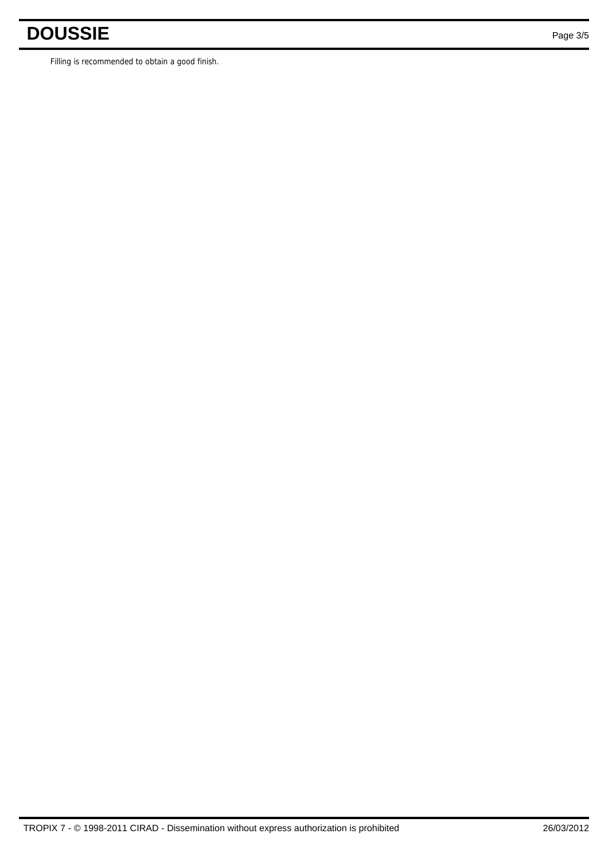# **DOUSSIE** Page 3/5

Filling is recommended to obtain a good finish.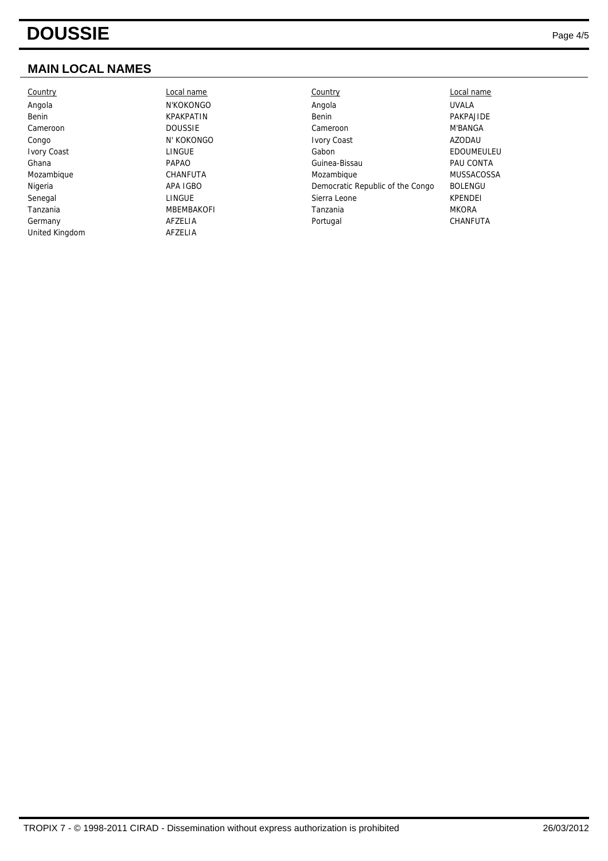## **MAIN LOCAL NAMES**

| Country        |
|----------------|
| Angola         |
| Benin          |
| Cameroon       |
| Congo          |
| Ivory Coast    |
| Ghana          |
| Mozambique     |
| Nigeria        |
| Senegal        |
| Tanzania       |
| Germany        |
| United Kingdom |

N'KOKONGO N' KOKONGO **MBEMBAKOFI AFZELIA** 

| Country     | Local name        | Country                          | Local name        |
|-------------|-------------------|----------------------------------|-------------------|
| Angola      | N'KOKONGO         | Angola                           | <b>UVALA</b>      |
| Benin       | <b>KPAKPATIN</b>  | Benin                            | PAKPAJIDE         |
| Cameroon    | <b>DOUSSIE</b>    | Cameroon                         | <b>M'BANGA</b>    |
| Congo       | N' KOKONGO        | <b>Ivory Coast</b>               | AZODAU            |
| Ivory Coast | LINGUE            | Gabon                            | EDOUMEULEU        |
| Ghana       | <b>PAPAO</b>      | Guinea-Bissau                    | PAU CONTA         |
| Mozambique  | CHANFUTA          | Mozambique                       | <b>MUSSACOSSA</b> |
| Nigeria     | APA IGBO          | Democratic Republic of the Congo | <b>BOLENGU</b>    |
| Senegal     | LINGUE            | Sierra Leone                     | <b>KPENDEI</b>    |
| Tanzania    | <b>MBEMBAKOFI</b> | Tanzania                         | <b>MKORA</b>      |
| Germany     | AFZELIA           | Portugal                         | CHANFUTA          |